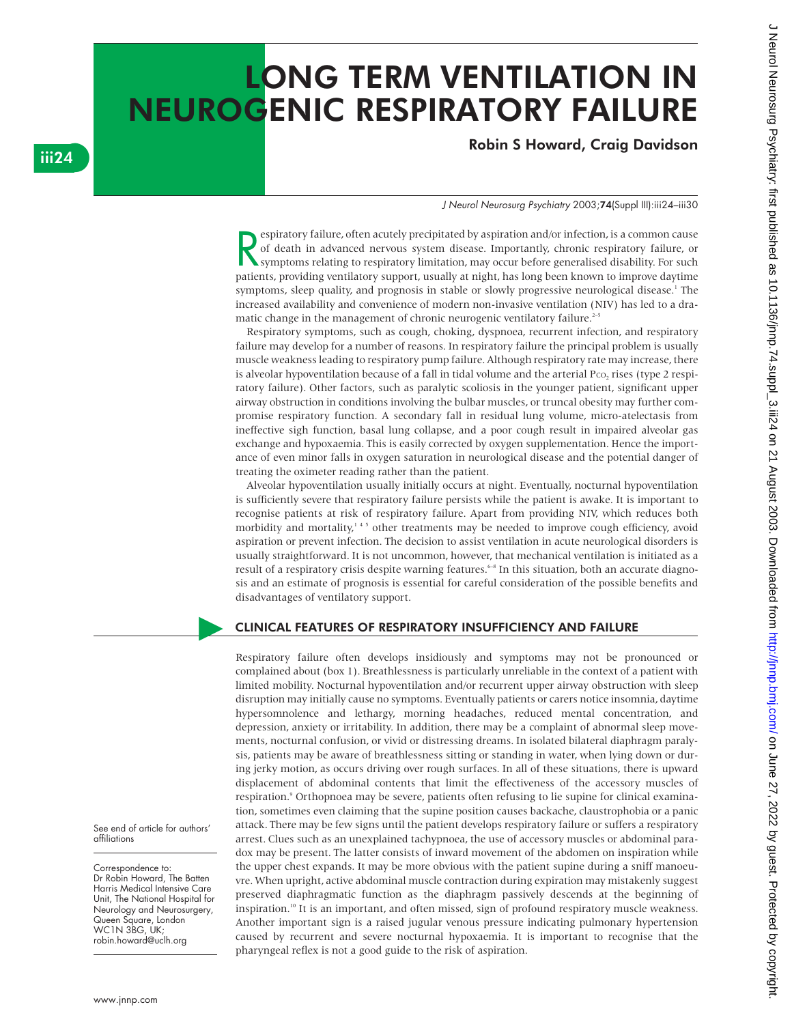# LONG TERM VENTILATION IN NEUROGENIC RESPIRATORY FAILURE

Robin S Howard, Craig Davidson

J Neurol Neurosurg Psychiatry 2003;74(Suppl III):iii24–iii30

expiratory failure, often acutely precipitated by aspiration and/or infection, is a common cause<br>of death in advanced nervous system disease. Importantly, chronic respiratory failure, or<br>symptoms relating to respiratory li espiratory failure, often acutely precipitated by aspiration and/or infection, is a common cause of death in advanced nervous system disease. Importantly, chronic respiratory failure, or symptoms relating to respiratory limitation, may occur before generalised disability. For such symptoms, sleep quality, and prognosis in stable or slowly progressive neurological disease.<sup>1</sup> The increased availability and convenience of modern non-invasive ventilation (NIV) has led to a dramatic change in the management of chronic neurogenic ventilatory failure.<sup>2-5</sup>

Respiratory symptoms, such as cough, choking, dyspnoea, recurrent infection, and respiratory failure may develop for a number of reasons. In respiratory failure the principal problem is usually muscle weakness leading to respiratory pump failure. Although respiratory rate may increase, there is alveolar hypoventilation because of a fall in tidal volume and the arterial Pco, rises (type  $2$  respiratory failure). Other factors, such as paralytic scoliosis in the younger patient, significant upper airway obstruction in conditions involving the bulbar muscles, or truncal obesity may further compromise respiratory function. A secondary fall in residual lung volume, micro-atelectasis from ineffective sigh function, basal lung collapse, and a poor cough result in impaired alveolar gas exchange and hypoxaemia. This is easily corrected by oxygen supplementation. Hence the importance of even minor falls in oxygen saturation in neurological disease and the potential danger of treating the oximeter reading rather than the patient.

Alveolar hypoventilation usually initially occurs at night. Eventually, nocturnal hypoventilation is sufficiently severe that respiratory failure persists while the patient is awake. It is important to recognise patients at risk of respiratory failure. Apart from providing NIV, which reduces both morbidity and mortality,<sup>145</sup> other treatments may be needed to improve cough efficiency, avoid aspiration or prevent infection. The decision to assist ventilation in acute neurological disorders is usually straightforward. It is not uncommon, however, that mechanical ventilation is initiated as a result of a respiratory crisis despite warning features.<sup>6-8</sup> In this situation, both an accurate diagnosis and an estimate of prognosis is essential for careful consideration of the possible benefits and disadvantages of ventilatory support.

## **CLINICAL FEATURES OF RESPIRATORY INSUFFICIENCY AND FAILURE**

Respiratory failure often develops insidiously and symptoms may not be pronounced or complained about (box 1). Breathlessness is particularly unreliable in the context of a patient with limited mobility. Nocturnal hypoventilation and/or recurrent upper airway obstruction with sleep disruption may initially cause no symptoms. Eventually patients or carers notice insomnia, daytime hypersomnolence and lethargy, morning headaches, reduced mental concentration, and depression, anxiety or irritability. In addition, there may be a complaint of abnormal sleep movements, nocturnal confusion, or vivid or distressing dreams. In isolated bilateral diaphragm paralysis, patients may be aware of breathlessness sitting or standing in water, when lying down or during jerky motion, as occurs driving over rough surfaces. In all of these situations, there is upward displacement of abdominal contents that limit the effectiveness of the accessory muscles of respiration.<sup>9</sup> Orthopnoea may be severe, patients often refusing to lie supine for clinical examination, sometimes even claiming that the supine position causes backache, claustrophobia or a panic attack. There may be few signs until the patient develops respiratory failure or suffers a respiratory arrest. Clues such as an unexplained tachypnoea, the use of accessory muscles or abdominal paradox may be present. The latter consists of inward movement of the abdomen on inspiration while the upper chest expands. It may be more obvious with the patient supine during a sniff manoeuvre. When upright, active abdominal muscle contraction during expiration may mistakenly suggest preserved diaphragmatic function as the diaphragm passively descends at the beginning of inspiration.<sup>10</sup> It is an important, and often missed, sign of profound respiratory muscle weakness. Another important sign is a raised jugular venous pressure indicating pulmonary hypertension caused by recurrent and severe nocturnal hypoxaemia. It is important to recognise that the pharyngeal reflex is not a good guide to the risk of aspiration.

See end of article for authors' affiliations

Correspondence to: Dr Robin Howard, The Batten Harris Medical Intensive Care Unit, The National Hospital for Neurology and Neurosurgery, Queen Square, London WC1N 3BG, UK; robin.howard@uclh.org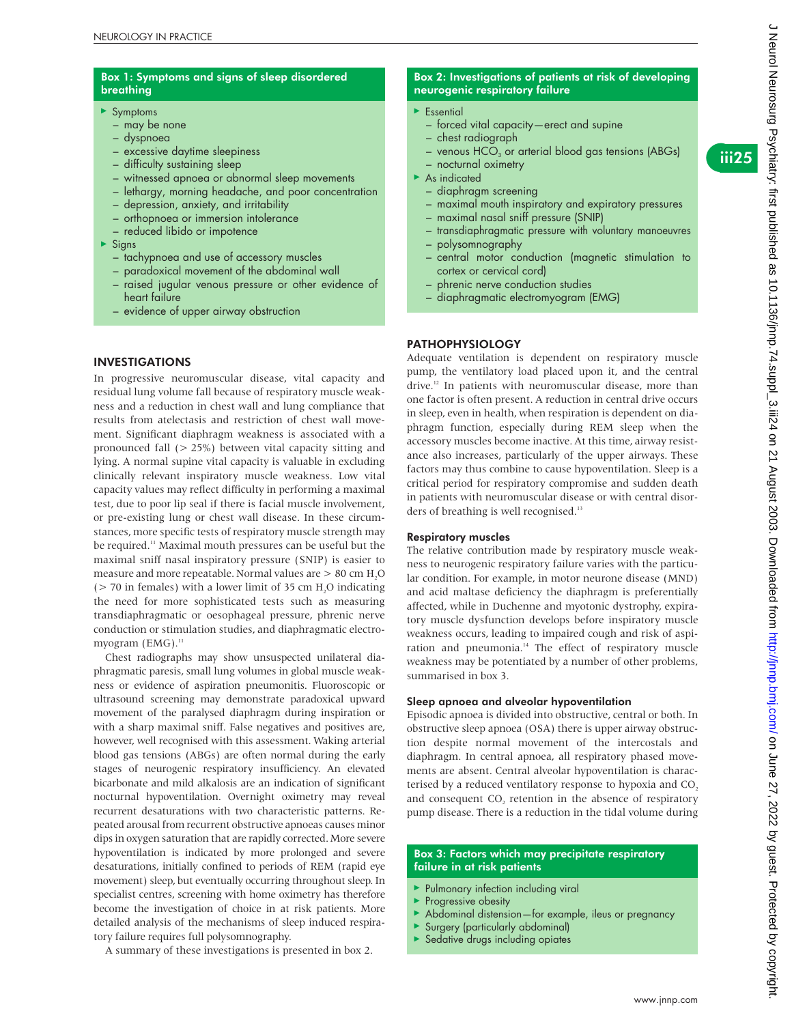iii25

## Box 1: Symptoms and signs of sleep disordered breathing

#### $\blacktriangleright$  Symptoms

- may be none
- dyspnoea
- excessive daytime sleepiness
- difficulty sustaining sleep
- witnessed apnoea or abnormal sleep movements
- lethargy, morning headache, and poor concentration
- depression, anxiety, and irritability
- orthopnoea or immersion intolerance
- reduced libido or impotence
- $\blacktriangleright$  Signs
	- tachypnoea and use of accessory muscles
	- paradoxical movement of the abdominal wall
	- raised jugular venous pressure or other evidence of heart failure
	- evidence of upper airway obstruction

## INVESTIGATIONS

In progressive neuromuscular disease, vital capacity and residual lung volume fall because of respiratory muscle weakness and a reduction in chest wall and lung compliance that results from atelectasis and restriction of chest wall movement. Significant diaphragm weakness is associated with a pronounced fall (> 25%) between vital capacity sitting and lying. A normal supine vital capacity is valuable in excluding clinically relevant inspiratory muscle weakness. Low vital capacity values may reflect difficulty in performing a maximal test, due to poor lip seal if there is facial muscle involvement, or pre-existing lung or chest wall disease. In these circumstances, more specific tests of respiratory muscle strength may be required.<sup>11</sup> Maximal mouth pressures can be useful but the maximal sniff nasal inspiratory pressure (SNIP) is easier to measure and more repeatable. Normal values are  $> 80$  cm  $H<sub>2</sub>O$  $(> 70$  in females) with a lower limit of 35 cm H<sub>2</sub>O indicating the need for more sophisticated tests such as measuring transdiaphragmatic or oesophageal pressure, phrenic nerve conduction or stimulation studies, and diaphragmatic electromyogram  $(EMG).$ <sup>11</sup>

Chest radiographs may show unsuspected unilateral diaphragmatic paresis, small lung volumes in global muscle weakness or evidence of aspiration pneumonitis. Fluoroscopic or ultrasound screening may demonstrate paradoxical upward movement of the paralysed diaphragm during inspiration or with a sharp maximal sniff. False negatives and positives are, however, well recognised with this assessment. Waking arterial blood gas tensions (ABGs) are often normal during the early stages of neurogenic respiratory insufficiency. An elevated bicarbonate and mild alkalosis are an indication of significant nocturnal hypoventilation. Overnight oximetry may reveal recurrent desaturations with two characteristic patterns. Repeated arousal from recurrent obstructive apnoeas causes minor dips in oxygen saturation that are rapidly corrected.More severe hypoventilation is indicated by more prolonged and severe desaturations, initially confined to periods of REM (rapid eye movement) sleep, but eventually occurring throughout sleep. In specialist centres, screening with home oximetry has therefore become the investigation of choice in at risk patients. More detailed analysis of the mechanisms of sleep induced respiratory failure requires full polysomnography.

A summary of these investigations is presented in box 2.

## Box 2: Investigations of patients at risk of developing neurogenic respiratory failure

## $\blacktriangleright$  Essential

- forced vital capacity—erect and supine
- chest radiograph
- venous HCO<sub>3</sub> or arterial blood gas tensions (ABGs)
- nocturnal oximetry As indicated
- 
- diaphragm screening – maximal mouth inspiratory and expiratory pressures
- maximal nasal sniff pressure (SNIP)
- transdiaphragmatic pressure with voluntary manoeuvres
- polysomnography
- central motor conduction (magnetic stimulation to cortex or cervical cord)
- phrenic nerve conduction studies
- diaphragmatic electromyogram (EMG)

## PATHOPHYSIOLOGY

Adequate ventilation is dependent on respiratory muscle pump, the ventilatory load placed upon it, and the central drive.<sup>12</sup> In patients with neuromuscular disease, more than one factor is often present. A reduction in central drive occurs in sleep, even in health, when respiration is dependent on diaphragm function, especially during REM sleep when the accessory muscles become inactive. At this time, airway resistance also increases, particularly of the upper airways. These factors may thus combine to cause hypoventilation. Sleep is a critical period for respiratory compromise and sudden death in patients with neuromuscular disease or with central disorders of breathing is well recognised.<sup>13</sup>

## Respiratory muscles

The relative contribution made by respiratory muscle weakness to neurogenic respiratory failure varies with the particular condition. For example, in motor neurone disease (MND) and acid maltase deficiency the diaphragm is preferentially affected, while in Duchenne and myotonic dystrophy, expiratory muscle dysfunction develops before inspiratory muscle weakness occurs, leading to impaired cough and risk of aspiration and pneumonia.<sup>14</sup> The effect of respiratory muscle weakness may be potentiated by a number of other problems, summarised in box 3.

## Sleep apnoea and alveolar hypoventilation

Episodic apnoea is divided into obstructive, central or both. In obstructive sleep apnoea (OSA) there is upper airway obstruction despite normal movement of the intercostals and diaphragm. In central apnoea, all respiratory phased movements are absent. Central alveolar hypoventilation is characterised by a reduced ventilatory response to hypoxia and CO<sub>2</sub> and consequent CO<sub>2</sub> retention in the absence of respiratory pump disease. There is a reduction in the tidal volume during

## Box 3: Factors which may precipitate respiratory failure in at risk patients

- Pulmonary infection including viral
- Progressive obesity
- Abdominal distension—for example, ileus or pregnancy
- Surgery (particularly abdominal)
	- Sedative drugs including opiates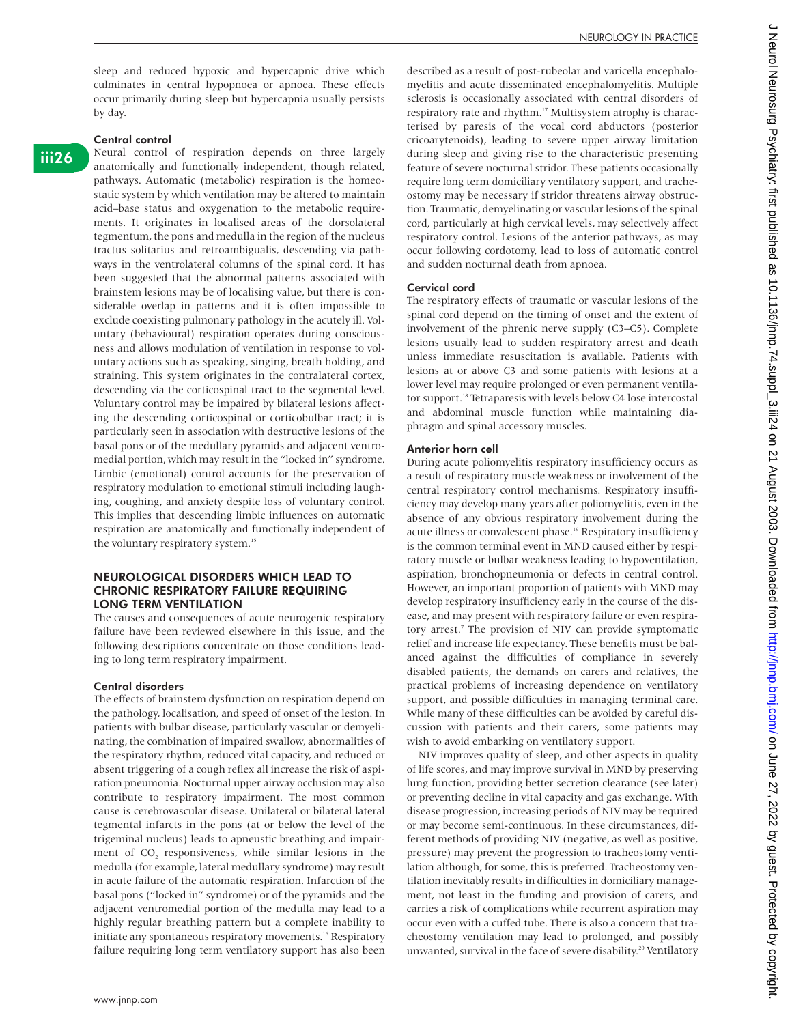sleep and reduced hypoxic and hypercapnic drive which culminates in central hypopnoea or apnoea. These effects occur primarily during sleep but hypercapnia usually persists by day.

#### Central control

iii26

Neural control of respiration depends on three largely anatomically and functionally independent, though related, pathways. Automatic (metabolic) respiration is the homeostatic system by which ventilation may be altered to maintain acid–base status and oxygenation to the metabolic requirements. It originates in localised areas of the dorsolateral tegmentum, the pons and medulla in the region of the nucleus tractus solitarius and retroambigualis, descending via pathways in the ventrolateral columns of the spinal cord. It has been suggested that the abnormal patterns associated with brainstem lesions may be of localising value, but there is considerable overlap in patterns and it is often impossible to exclude coexisting pulmonary pathology in the acutely ill. Voluntary (behavioural) respiration operates during consciousness and allows modulation of ventilation in response to voluntary actions such as speaking, singing, breath holding, and straining. This system originates in the contralateral cortex, descending via the corticospinal tract to the segmental level. Voluntary control may be impaired by bilateral lesions affecting the descending corticospinal or corticobulbar tract; it is particularly seen in association with destructive lesions of the basal pons or of the medullary pyramids and adjacent ventromedial portion, which may result in the "locked in" syndrome. Limbic (emotional) control accounts for the preservation of respiratory modulation to emotional stimuli including laughing, coughing, and anxiety despite loss of voluntary control. This implies that descending limbic influences on automatic respiration are anatomically and functionally independent of the voluntary respiratory system.<sup>15</sup>

#### NEUROLOGICAL DISORDERS WHICH LEAD TO CHRONIC RESPIRATORY FAILURE REQUIRING LONG TERM VENTILATION

The causes and consequences of acute neurogenic respiratory failure have been reviewed elsewhere in this issue, and the following descriptions concentrate on those conditions leading to long term respiratory impairment.

#### Central disorders

The effects of brainstem dysfunction on respiration depend on the pathology, localisation, and speed of onset of the lesion. In patients with bulbar disease, particularly vascular or demyelinating, the combination of impaired swallow, abnormalities of the respiratory rhythm, reduced vital capacity, and reduced or absent triggering of a cough reflex all increase the risk of aspiration pneumonia. Nocturnal upper airway occlusion may also contribute to respiratory impairment. The most common cause is cerebrovascular disease. Unilateral or bilateral lateral tegmental infarcts in the pons (at or below the level of the trigeminal nucleus) leads to apneustic breathing and impairment of CO<sub>2</sub> responsiveness, while similar lesions in the medulla (for example, lateral medullary syndrome) may result in acute failure of the automatic respiration. Infarction of the basal pons ("locked in" syndrome) or of the pyramids and the adjacent ventromedial portion of the medulla may lead to a highly regular breathing pattern but a complete inability to initiate any spontaneous respiratory movements.<sup>16</sup> Respiratory failure requiring long term ventilatory support has also been

described as a result of post-rubeolar and varicella encephalomyelitis and acute disseminated encephalomyelitis. Multiple sclerosis is occasionally associated with central disorders of respiratory rate and rhythm.<sup>17</sup> Multisystem atrophy is characterised by paresis of the vocal cord abductors (posterior cricoarytenoids), leading to severe upper airway limitation during sleep and giving rise to the characteristic presenting feature of severe nocturnal stridor. These patients occasionally require long term domiciliary ventilatory support, and tracheostomy may be necessary if stridor threatens airway obstruction. Traumatic, demyelinating or vascular lesions of the spinal cord, particularly at high cervical levels, may selectively affect respiratory control. Lesions of the anterior pathways, as may occur following cordotomy, lead to loss of automatic control and sudden nocturnal death from apnoea.

## Cervical cord

The respiratory effects of traumatic or vascular lesions of the spinal cord depend on the timing of onset and the extent of involvement of the phrenic nerve supply (C3–C5). Complete lesions usually lead to sudden respiratory arrest and death unless immediate resuscitation is available. Patients with lesions at or above C3 and some patients with lesions at a lower level may require prolonged or even permanent ventilator support.<sup>18</sup> Tetraparesis with levels below C4 lose intercostal and abdominal muscle function while maintaining diaphragm and spinal accessory muscles.

## Anterior horn cell

During acute poliomyelitis respiratory insufficiency occurs as a result of respiratory muscle weakness or involvement of the central respiratory control mechanisms. Respiratory insufficiency may develop many years after poliomyelitis, even in the absence of any obvious respiratory involvement during the acute illness or convalescent phase.<sup>19</sup> Respiratory insufficiency is the common terminal event in MND caused either by respiratory muscle or bulbar weakness leading to hypoventilation, aspiration, bronchopneumonia or defects in central control. However, an important proportion of patients with MND may develop respiratory insufficiency early in the course of the disease, and may present with respiratory failure or even respiratory arrest.7 The provision of NIV can provide symptomatic relief and increase life expectancy. These benefits must be balanced against the difficulties of compliance in severely disabled patients, the demands on carers and relatives, the practical problems of increasing dependence on ventilatory support, and possible difficulties in managing terminal care. While many of these difficulties can be avoided by careful discussion with patients and their carers, some patients may wish to avoid embarking on ventilatory support.

NIV improves quality of sleep, and other aspects in quality of life scores, and may improve survival in MND by preserving lung function, providing better secretion clearance (see later) or preventing decline in vital capacity and gas exchange. With disease progression, increasing periods of NIV may be required or may become semi-continuous. In these circumstances, different methods of providing NIV (negative, as well as positive, pressure) may prevent the progression to tracheostomy ventilation although, for some, this is preferred. Tracheostomy ventilation inevitably results in difficulties in domiciliary management, not least in the funding and provision of carers, and carries a risk of complications while recurrent aspiration may occur even with a cuffed tube. There is also a concern that tracheostomy ventilation may lead to prolonged, and possibly unwanted, survival in the face of severe disability.<sup>20</sup> Ventilatory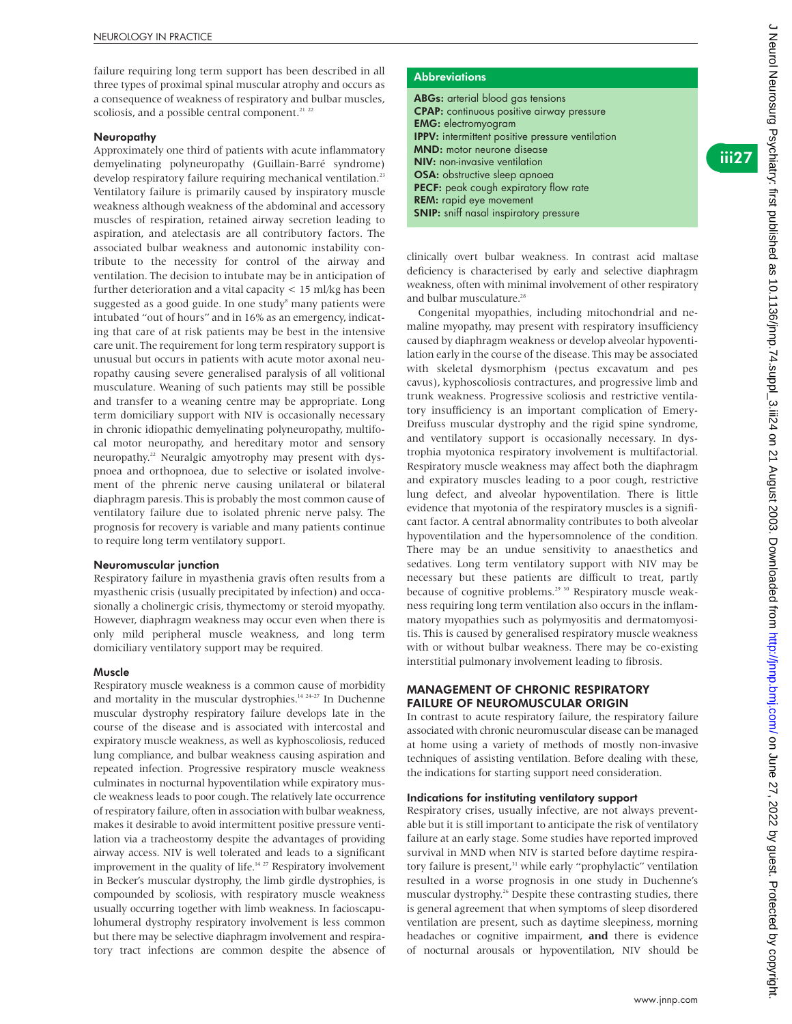failure requiring long term support has been described in all three types of proximal spinal muscular atrophy and occurs as a consequence of weakness of respiratory and bulbar muscles, scoliosis, and a possible central component.<sup>21</sup> <sup>22</sup>

#### Neuropathy

Approximately one third of patients with acute inflammatory demyelinating polyneuropathy (Guillain-Barré syndrome) develop respiratory failure requiring mechanical ventilation.<sup>23</sup> Ventilatory failure is primarily caused by inspiratory muscle weakness although weakness of the abdominal and accessory muscles of respiration, retained airway secretion leading to aspiration, and atelectasis are all contributory factors. The associated bulbar weakness and autonomic instability contribute to the necessity for control of the airway and ventilation. The decision to intubate may be in anticipation of further deterioration and a vital capacity < 15 ml/kg has been suggested as a good guide. In one study $\delta$  many patients were intubated "out of hours" and in 16% as an emergency, indicating that care of at risk patients may be best in the intensive care unit. The requirement for long term respiratory support is unusual but occurs in patients with acute motor axonal neuropathy causing severe generalised paralysis of all volitional musculature. Weaning of such patients may still be possible and transfer to a weaning centre may be appropriate. Long term domiciliary support with NIV is occasionally necessary in chronic idiopathic demyelinating polyneuropathy, multifocal motor neuropathy, and hereditary motor and sensory neuropathy.<sup>22</sup> Neuralgic amyotrophy may present with dyspnoea and orthopnoea, due to selective or isolated involvement of the phrenic nerve causing unilateral or bilateral diaphragm paresis. This is probably the most common cause of ventilatory failure due to isolated phrenic nerve palsy. The prognosis for recovery is variable and many patients continue to require long term ventilatory support.

#### Neuromuscular junction

Respiratory failure in myasthenia gravis often results from a myasthenic crisis (usually precipitated by infection) and occasionally a cholinergic crisis, thymectomy or steroid myopathy. However, diaphragm weakness may occur even when there is only mild peripheral muscle weakness, and long term domiciliary ventilatory support may be required.

#### Muscle

Respiratory muscle weakness is a common cause of morbidity and mortality in the muscular dystrophies. $14 \times 24 - 27$  In Duchenne muscular dystrophy respiratory failure develops late in the course of the disease and is associated with intercostal and expiratory muscle weakness, as well as kyphoscoliosis, reduced lung compliance, and bulbar weakness causing aspiration and repeated infection. Progressive respiratory muscle weakness culminates in nocturnal hypoventilation while expiratory muscle weakness leads to poor cough. The relatively late occurrence of respiratory failure, often in association with bulbar weakness, makes it desirable to avoid intermittent positive pressure ventilation via a tracheostomy despite the advantages of providing airway access. NIV is well tolerated and leads to a significant improvement in the quality of life.<sup>14-27</sup> Respiratory involvement in Becker's muscular dystrophy, the limb girdle dystrophies, is compounded by scoliosis, with respiratory muscle weakness usually occurring together with limb weakness. In facioscapulohumeral dystrophy respiratory involvement is less common but there may be selective diaphragm involvement and respiratory tract infections are common despite the absence of

## **Abbreviations**

| <b>ABGs:</b> arterial blood gas tensions                |
|---------------------------------------------------------|
| <b>CPAP:</b> continuous positive airway pressure        |
| <b>EMG:</b> electromyogram                              |
| <b>IPPV:</b> intermittent positive pressure ventilation |
| <b>MND:</b> motor neurone disease                       |
| <b>NIV:</b> non-invasive ventilation                    |
| <b>OSA:</b> obstructive sleep apnoea                    |
| PECF: peak cough expiratory flow rate                   |
| <b>REM:</b> rapid eye movement                          |
| <b>SNIP:</b> sniff nasal inspiratory pressure           |

clinically overt bulbar weakness. In contrast acid maltase deficiency is characterised by early and selective diaphragm weakness, often with minimal involvement of other respiratory and bulbar musculature.<sup>28</sup>

Congenital myopathies, including mitochondrial and nemaline myopathy, may present with respiratory insufficiency caused by diaphragm weakness or develop alveolar hypoventilation early in the course of the disease. This may be associated with skeletal dysmorphism (pectus excavatum and pes cavus), kyphoscoliosis contractures, and progressive limb and trunk weakness. Progressive scoliosis and restrictive ventilatory insufficiency is an important complication of Emery-Dreifuss muscular dystrophy and the rigid spine syndrome, and ventilatory support is occasionally necessary. In dystrophia myotonica respiratory involvement is multifactorial. Respiratory muscle weakness may affect both the diaphragm and expiratory muscles leading to a poor cough, restrictive lung defect, and alveolar hypoventilation. There is little evidence that myotonia of the respiratory muscles is a significant factor. A central abnormality contributes to both alveolar hypoventilation and the hypersomnolence of the condition. There may be an undue sensitivity to anaesthetics and sedatives. Long term ventilatory support with NIV may be necessary but these patients are difficult to treat, partly because of cognitive problems.<sup>29 30</sup> Respiratory muscle weakness requiring long term ventilation also occurs in the inflammatory myopathies such as polymyositis and dermatomyositis. This is caused by generalised respiratory muscle weakness with or without bulbar weakness. There may be co-existing interstitial pulmonary involvement leading to fibrosis.

## MANAGEMENT OF CHRONIC RESPIRATORY FAILURE OF NEUROMUSCULAR ORIGIN

In contrast to acute respiratory failure, the respiratory failure associated with chronic neuromuscular disease can be managed at home using a variety of methods of mostly non-invasive techniques of assisting ventilation. Before dealing with these, the indications for starting support need consideration.

#### Indications for instituting ventilatory support

Respiratory crises, usually infective, are not always preventable but it is still important to anticipate the risk of ventilatory failure at an early stage. Some studies have reported improved survival in MND when NIV is started before daytime respiratory failure is present,<sup>31</sup> while early "prophylactic" ventilation resulted in a worse prognosis in one study in Duchenne's muscular dystrophy.<sup>26</sup> Despite these contrasting studies, there is general agreement that when symptoms of sleep disordered ventilation are present, such as daytime sleepiness, morning headaches or cognitive impairment, **and** there is evidence of nocturnal arousals or hypoventilation, NIV should be

iii27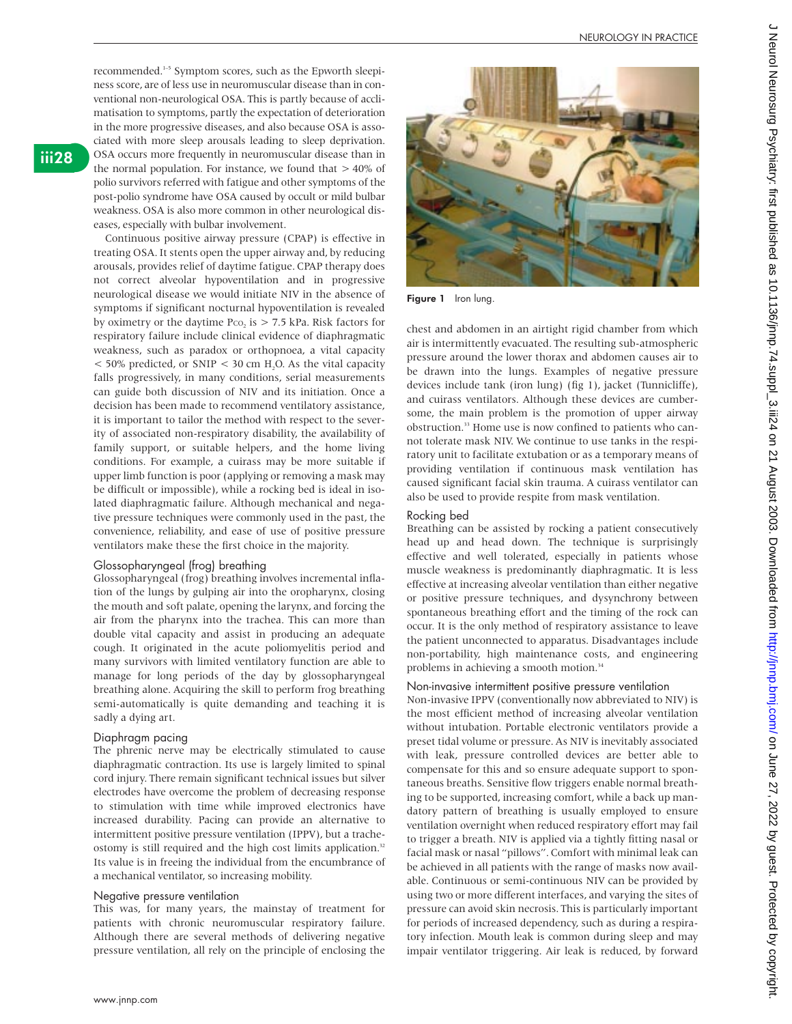recommended.<sup>1-5</sup> Symptom scores, such as the Epworth sleepiness score, are of less use in neuromuscular disease than in conventional non-neurological OSA. This is partly because of acclimatisation to symptoms, partly the expectation of deterioration in the more progressive diseases, and also because OSA is associated with more sleep arousals leading to sleep deprivation. OSA occurs more frequently in neuromuscular disease than in the normal population. For instance, we found that > 40% of polio survivors referred with fatigue and other symptoms of the post-polio syndrome have OSA caused by occult or mild bulbar weakness. OSA is also more common in other neurological diseases, especially with bulbar involvement.

Continuous positive airway pressure (CPAP) is effective in treating OSA. It stents open the upper airway and, by reducing arousals, provides relief of daytime fatigue. CPAP therapy does not correct alveolar hypoventilation and in progressive neurological disease we would initiate NIV in the absence of symptoms if significant nocturnal hypoventilation is revealed by oximetry or the daytime Pco<sub>2</sub> is  $>$  7.5 kPa. Risk factors for respiratory failure include clinical evidence of diaphragmatic weakness, such as paradox or orthopnoea, a vital capacity  $<$  50% predicted, or SNIP  $<$  30 cm H<sub>2</sub>O. As the vital capacity falls progressively, in many conditions, serial measurements can guide both discussion of NIV and its initiation. Once a decision has been made to recommend ventilatory assistance, it is important to tailor the method with respect to the severity of associated non-respiratory disability, the availability of family support, or suitable helpers, and the home living conditions. For example, a cuirass may be more suitable if upper limb function is poor (applying or removing a mask may be difficult or impossible), while a rocking bed is ideal in isolated diaphragmatic failure. Although mechanical and negative pressure techniques were commonly used in the past, the convenience, reliability, and ease of use of positive pressure ventilators make these the first choice in the majority.

#### Glossopharyngeal (frog) breathing

Glossopharyngeal (frog) breathing involves incremental inflation of the lungs by gulping air into the oropharynx, closing the mouth and soft palate, opening the larynx, and forcing the air from the pharynx into the trachea. This can more than double vital capacity and assist in producing an adequate cough. It originated in the acute poliomyelitis period and many survivors with limited ventilatory function are able to manage for long periods of the day by glossopharyngeal breathing alone. Acquiring the skill to perform frog breathing semi-automatically is quite demanding and teaching it is sadly a dying art.

#### Diaphragm pacing

The phrenic nerve may be electrically stimulated to cause diaphragmatic contraction. Its use is largely limited to spinal cord injury. There remain significant technical issues but silver electrodes have overcome the problem of decreasing response to stimulation with time while improved electronics have increased durability. Pacing can provide an alternative to intermittent positive pressure ventilation (IPPV), but a tracheostomy is still required and the high cost limits application.<sup>32</sup> Its value is in freeing the individual from the encumbrance of a mechanical ventilator, so increasing mobility.

## Negative pressure ventilation

This was, for many years, the mainstay of treatment for patients with chronic neuromuscular respiratory failure. Although there are several methods of delivering negative pressure ventilation, all rely on the principle of enclosing the



Figure 1 Iron lung.

chest and abdomen in an airtight rigid chamber from which air is intermittently evacuated. The resulting sub-atmospheric pressure around the lower thorax and abdomen causes air to be drawn into the lungs. Examples of negative pressure devices include tank (iron lung) (fig 1), jacket (Tunnicliffe), and cuirass ventilators. Although these devices are cumbersome, the main problem is the promotion of upper airway obstruction.<sup>33</sup> Home use is now confined to patients who cannot tolerate mask NIV. We continue to use tanks in the respiratory unit to facilitate extubation or as a temporary means of providing ventilation if continuous mask ventilation has caused significant facial skin trauma. A cuirass ventilator can also be used to provide respite from mask ventilation.

#### Rocking bed

Breathing can be assisted by rocking a patient consecutively head up and head down. The technique is surprisingly effective and well tolerated, especially in patients whose muscle weakness is predominantly diaphragmatic. It is less effective at increasing alveolar ventilation than either negative or positive pressure techniques, and dysynchrony between spontaneous breathing effort and the timing of the rock can occur. It is the only method of respiratory assistance to leave the patient unconnected to apparatus. Disadvantages include non-portability, high maintenance costs, and engineering problems in achieving a smooth motion.<sup>34</sup>

#### Non-invasive intermittent positive pressure ventilation

Non-invasive IPPV (conventionally now abbreviated to NIV) is the most efficient method of increasing alveolar ventilation without intubation. Portable electronic ventilators provide a preset tidal volume or pressure. As NIV is inevitably associated with leak, pressure controlled devices are better able to compensate for this and so ensure adequate support to spontaneous breaths. Sensitive flow triggers enable normal breathing to be supported, increasing comfort, while a back up mandatory pattern of breathing is usually employed to ensure ventilation overnight when reduced respiratory effort may fail to trigger a breath. NIV is applied via a tightly fitting nasal or facial mask or nasal "pillows". Comfort with minimal leak can be achieved in all patients with the range of masks now available. Continuous or semi-continuous NIV can be provided by using two or more different interfaces, and varying the sites of pressure can avoid skin necrosis. This is particularly important for periods of increased dependency, such as during a respiratory infection. Mouth leak is common during sleep and may impair ventilator triggering. Air leak is reduced, by forward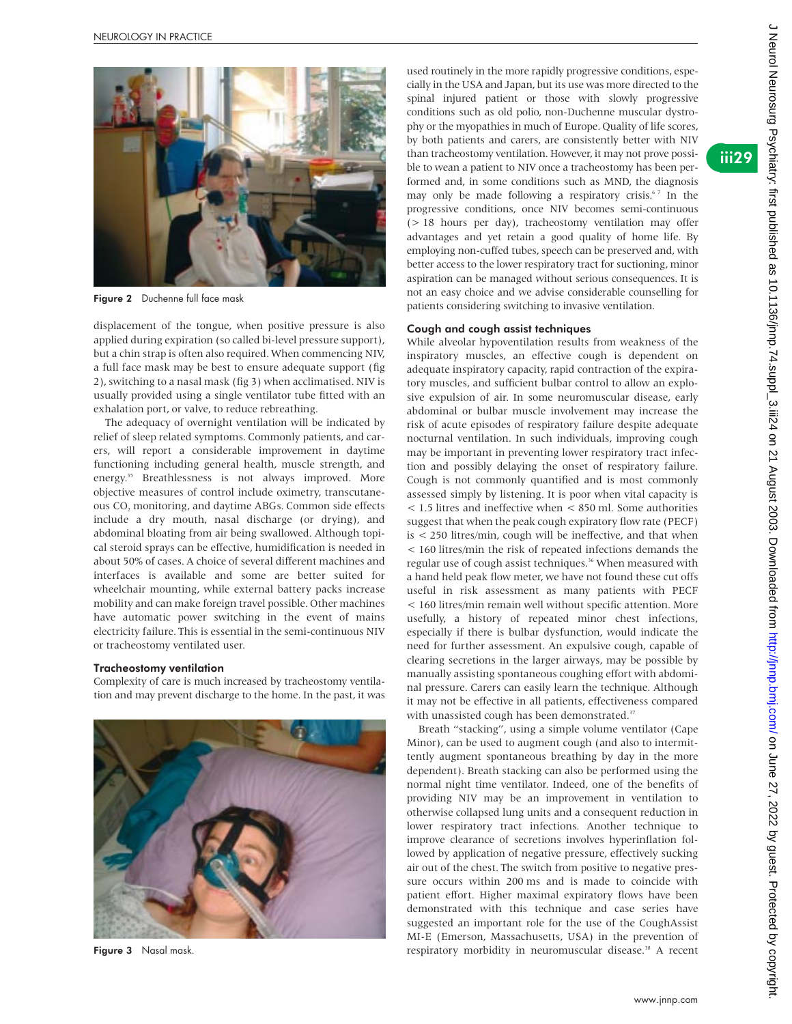

Figure 2 Duchenne full face mask

displacement of the tongue, when positive pressure is also applied during expiration (so called bi-level pressure support), but a chin strap is often also required. When commencing NIV, a full face mask may be best to ensure adequate support (fig 2), switching to a nasal mask (fig 3) when acclimatised. NIV is usually provided using a single ventilator tube fitted with an exhalation port, or valve, to reduce rebreathing.

The adequacy of overnight ventilation will be indicated by relief of sleep related symptoms. Commonly patients, and carers, will report a considerable improvement in daytime functioning including general health, muscle strength, and energy.<sup>35</sup> Breathlessness is not always improved. More objective measures of control include oximetry, transcutaneous CO<sub>2</sub> monitoring, and daytime ABGs. Common side effects include a dry mouth, nasal discharge (or drying), and abdominal bloating from air being swallowed. Although topical steroid sprays can be effective, humidification is needed in about 50% of cases. A choice of several different machines and interfaces is available and some are better suited for wheelchair mounting, while external battery packs increase mobility and can make foreign travel possible. Other machines have automatic power switching in the event of mains electricity failure. This is essential in the semi-continuous NIV or tracheostomy ventilated user.

#### Tracheostomy ventilation

Complexity of care is much increased by tracheostomy ventilation and may prevent discharge to the home. In the past, it was



Figure 3 Nasal mask.

used routinely in the more rapidly progressive conditions, especially in the USA and Japan, but its use was more directed to the spinal injured patient or those with slowly progressive conditions such as old polio, non-Duchenne muscular dystrophy or the myopathies in much of Europe. Quality of life scores, by both patients and carers, are consistently better with NIV than tracheostomy ventilation. However, it may not prove possible to wean a patient to NIV once a tracheostomy has been performed and, in some conditions such as MND, the diagnosis may only be made following a respiratory crisis.<sup> $67$ </sup> In the progressive conditions, once NIV becomes semi-continuous (> 18 hours per day), tracheostomy ventilation may offer advantages and yet retain a good quality of home life. By employing non-cuffed tubes, speech can be preserved and, with better access to the lower respiratory tract for suctioning, minor aspiration can be managed without serious consequences. It is not an easy choice and we advise considerable counselling for patients considering switching to invasive ventilation.

#### Cough and cough assist techniques

While alveolar hypoventilation results from weakness of the inspiratory muscles, an effective cough is dependent on adequate inspiratory capacity, rapid contraction of the expiratory muscles, and sufficient bulbar control to allow an explosive expulsion of air. In some neuromuscular disease, early abdominal or bulbar muscle involvement may increase the risk of acute episodes of respiratory failure despite adequate nocturnal ventilation. In such individuals, improving cough may be important in preventing lower respiratory tract infection and possibly delaying the onset of respiratory failure. Cough is not commonly quantified and is most commonly assessed simply by listening. It is poor when vital capacity is < 1.5 litres and ineffective when < 850 ml. Some authorities suggest that when the peak cough expiratory flow rate (PECF) is < 250 litres/min, cough will be ineffective, and that when < 160 litres/min the risk of repeated infections demands the regular use of cough assist techniques.<sup>36</sup> When measured with a hand held peak flow meter, we have not found these cut offs useful in risk assessment as many patients with PECF < 160 litres/min remain well without specific attention. More usefully, a history of repeated minor chest infections, especially if there is bulbar dysfunction, would indicate the need for further assessment. An expulsive cough, capable of clearing secretions in the larger airways, may be possible by manually assisting spontaneous coughing effort with abdominal pressure. Carers can easily learn the technique. Although it may not be effective in all patients, effectiveness compared with unassisted cough has been demonstrated.<sup>37</sup>

Breath "stacking", using a simple volume ventilator (Cape Minor), can be used to augment cough (and also to intermittently augment spontaneous breathing by day in the more dependent). Breath stacking can also be performed using the normal night time ventilator. Indeed, one of the benefits of providing NIV may be an improvement in ventilation to otherwise collapsed lung units and a consequent reduction in lower respiratory tract infections. Another technique to improve clearance of secretions involves hyperinflation followed by application of negative pressure, effectively sucking air out of the chest. The switch from positive to negative pressure occurs within 200 ms and is made to coincide with patient effort. Higher maximal expiratory flows have been demonstrated with this technique and case series have suggested an important role for the use of the CoughAssist MI-E (Emerson, Massachusetts, USA) in the prevention of respiratory morbidity in neuromuscular disease.<sup>38</sup> A recent

iii29